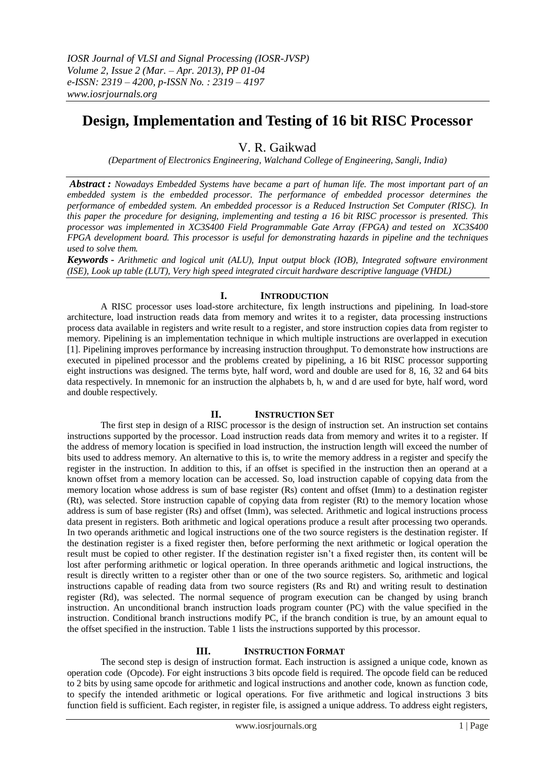# **Design, Implementation and Testing of 16 bit RISC Processor**

V. R. Gaikwad

*(Department of Electronics Engineering, Walchand College of Engineering, Sangli, India)*

*Abstract : Nowadays Embedded Systems have became a part of human life. The most important part of an embedded system is the embedded processor. The performance of embedded processor determines the performance of embedded system. An embedded processor is a Reduced Instruction Set Computer (RISC). In this paper the procedure for designing, implementing and testing a 16 bit RISC processor is presented. This processor was implemented in XC3S400 Field Programmable Gate Array (FPGA) and tested on XC3S400 FPGA development board. This processor is useful for demonstrating hazards in pipeline and the techniques used to solve them.*

*Keywords - Arithmetic and logical unit (ALU), Input output block (IOB), Integrated software environment (ISE), Look up table (LUT), Very high speed integrated circuit hardware descriptive language (VHDL)*

# **I. INTRODUCTION**

A RISC processor uses load-store architecture, fix length instructions and pipelining. In load-store architecture, load instruction reads data from memory and writes it to a register, data processing instructions process data available in registers and write result to a register, and store instruction copies data from register to memory. Pipelining is an implementation technique in which multiple instructions are overlapped in execution [1]. Pipelining improves performance by increasing instruction throughput. To demonstrate how instructions are executed in pipelined processor and the problems created by pipelining, a 16 bit RISC processor supporting eight instructions was designed. The terms byte, half word, word and double are used for 8, 16, 32 and 64 bits data respectively. In mnemonic for an instruction the alphabets b, h, w and d are used for byte, half word, word and double respectively.

# **II. INSTRUCTION SET**

The first step in design of a RISC processor is the design of instruction set. An instruction set contains instructions supported by the processor. Load instruction reads data from memory and writes it to a register. If the address of memory location is specified in load instruction, the instruction length will exceed the number of bits used to address memory. An alternative to this is, to write the memory address in a register and specify the register in the instruction. In addition to this, if an offset is specified in the instruction then an operand at a known offset from a memory location can be accessed. So, load instruction capable of copying data from the memory location whose address is sum of base register (Rs) content and offset (Imm) to a destination register (Rt), was selected. Store instruction capable of copying data from register (Rt) to the memory location whose address is sum of base register (Rs) and offset (Imm), was selected. Arithmetic and logical instructions process data present in registers. Both arithmetic and logical operations produce a result after processing two operands. In two operands arithmetic and logical instructions one of the two source registers is the destination register. If the destination register is a fixed register then, before performing the next arithmetic or logical operation the result must be copied to other register. If the destination register isn't a fixed register then, its content will be lost after performing arithmetic or logical operation. In three operands arithmetic and logical instructions, the result is directly written to a register other than or one of the two source registers. So, arithmetic and logical instructions capable of reading data from two source registers (Rs and Rt) and writing result to destination register (Rd), was selected. The normal sequence of program execution can be changed by using branch instruction. An unconditional branch instruction loads program counter (PC) with the value specified in the instruction. Conditional branch instructions modify PC, if the branch condition is true, by an amount equal to the offset specified in the instruction. Table 1 lists the instructions supported by this processor.

# **III. INSTRUCTION FORMAT**

The second step is design of instruction format. Each instruction is assigned a unique code, known as operation code (Opcode). For eight instructions 3 bits opcode field is required. The opcode field can be reduced to 2 bits by using same opcode for arithmetic and logical instructions and another code, known as function code, to specify the intended arithmetic or logical operations. For five arithmetic and logical instructions 3 bits function field is sufficient. Each register, in register file, is assigned a unique address. To address eight registers,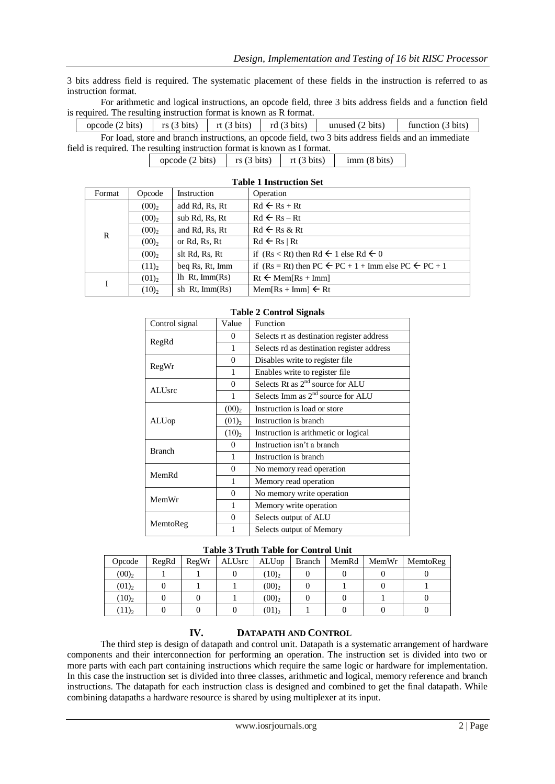3 bits address field is required. The systematic placement of these fields in the instruction is referred to as instruction format.

For arithmetic and logical instructions, an opcode field, three 3 bits address fields and a function field is required. The resulting instruction format is known as R format.

For load, store and branch instructions, an opcode field, two 3 bits address fields and an immediate field is required. The resulting instruction format is known as I format. opcode (2 bits) rs (3 bits) rt (3 bits) rd (3 bits) unused (2 bits) function (3 bits)

opcode (2 bits)  $\left| \begin{array}{c} \text{rs (3 bits)} \\ \text{r (3 bits)} \end{array} \right|$  rt (3 bits) imm (8 bits)

| <b>Table 1 Instruction Set</b> |                     |                      |                                                                              |  |  |
|--------------------------------|---------------------|----------------------|------------------------------------------------------------------------------|--|--|
| Format                         | Opcode              | Instruction          | Operation                                                                    |  |  |
|                                | $(00)_2$            | add Rd, Rs, Rt       | $Rd \leftarrow Rs + Rt$                                                      |  |  |
| R                              | $(00)$ <sub>2</sub> | sub Rd, Rs, Rt       | $Rd \leftarrow Rs - Rt$                                                      |  |  |
|                                | $(00)$ <sub>2</sub> | and Rd, Rs, Rt       | $Rd \leftarrow Rs & Rt$                                                      |  |  |
|                                | $(00)_2$            | or Rd, Rs, Rt        | $Rd \leftarrow Rs \mid Rt$                                                   |  |  |
|                                | $(00)$ <sub>2</sub> | slt Rd, Rs, Rt       | if $(Rs < Rt)$ then Rd $\leftarrow$ 1 else Rd $\leftarrow 0$                 |  |  |
|                                | $(11)_2$            | beg Rs, Rt, Imm      | if $(Rs = Rt)$ then PC $\leftarrow$ PC + 1 + Imm else PC $\leftarrow$ PC + 1 |  |  |
|                                | $(01)$ <sub>2</sub> | $lh$ Rt, $Imm(Rs)$   | $Rt \leftarrow \text{Mem}[Rs + \text{Imm}]$                                  |  |  |
|                                | $(10)$ <sub>2</sub> | sh $Rt$ , Imm $(Rs)$ | $Mem[Rs + Imm] \leftarrow Rt$                                                |  |  |

| Control signal | Value          | Function                                   |  |
|----------------|----------------|--------------------------------------------|--|
| RegRd          | 0              | Selects rt as destination register address |  |
|                | 1              | Selects rd as destination register address |  |
|                | $\theta$       | Disables write to register file.           |  |
| RegWr          | 1              | Enables write to register file             |  |
|                | $\overline{0}$ | Selects Rt as $2nd$ source for ALU         |  |
| <b>ALUsrc</b>  | 1              | Selects Imm as $2nd$ source for ALU        |  |
|                | $(00)_2$       | Instruction is load or store               |  |
| ALUop          | $(01)_2$       | Instruction is branch                      |  |
|                | $(10)_2$       | Instruction is arithmetic or logical       |  |
| <b>Branch</b>  | $\Omega$       | Instruction isn't a branch                 |  |
|                | 1              | Instruction is branch                      |  |
| MemRd          | $\overline{0}$ | No memory read operation                   |  |
|                | 1              | Memory read operation                      |  |
|                | $\theta$       | No memory write operation                  |  |
| MemWr          | 1              | Memory write operation                     |  |
|                | $\theta$       | Selects output of ALU                      |  |
| MemtoReg       | 1              | Selects output of Memory                   |  |

## **Table 2 Control Signals**

### **Table 3 Truth Table for Control Unit**

| Opcode   | RegRd | RegWr | ALUsrc | ALUop    | <b>Branch</b> | MemRd | MemWr | MemtoReg |
|----------|-------|-------|--------|----------|---------------|-------|-------|----------|
| $(00)_2$ |       |       |        | $(10)_2$ |               |       |       |          |
| $(01)_2$ |       |       |        | $(00)_2$ |               |       |       |          |
| $(10)_2$ |       |       |        | $(00)_2$ |               |       |       |          |
| $(11)_2$ |       |       |        | $(01)_2$ |               |       |       |          |

## **IV. DATAPATH AND CONTROL**

The third step is design of datapath and control unit. Datapath is a systematic arrangement of hardware components and their interconnection for performing an operation. The instruction set is divided into two or more parts with each part containing instructions which require the same logic or hardware for implementation. In this case the instruction set is divided into three classes, arithmetic and logical, memory reference and branch instructions. The datapath for each instruction class is designed and combined to get the final datapath. While combining datapaths a hardware resource is shared by using multiplexer at its input.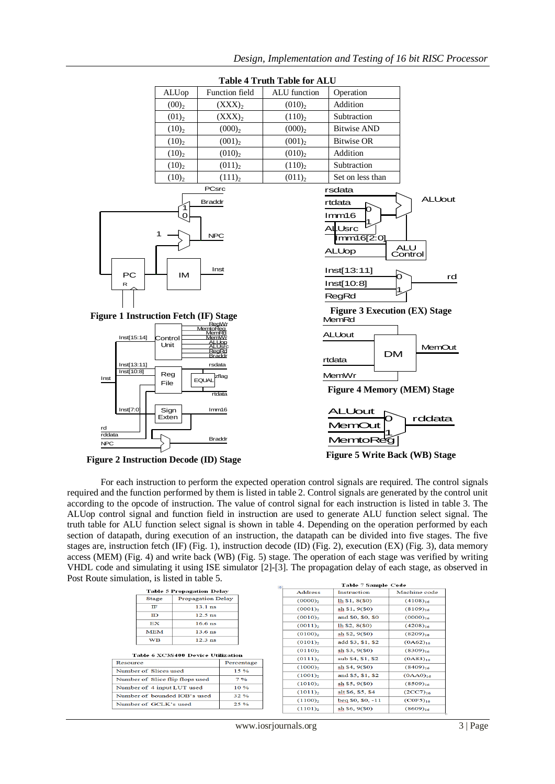

For each instruction to perform the expected operation control signals are required. The control signals required and the function performed by them is listed in table 2. Control signals are generated by the control unit according to the opcode of instruction. The value of control signal for each instruction is listed in table 3. The ALUop control signal and function field in instruction are used to generate ALU function select signal. The truth table for ALU function select signal is shown in table 4. Depending on the operation performed by each section of datapath, during execution of an instruction, the datapath can be divided into five stages. The five stages are, instruction fetch (IF) (Fig. 1), instruction decode (ID) (Fig. 2), execution (EX) (Fig. 3), data memory access (MEM) (Fig. 4) and write back (WB) (Fig. 5) stage. The operation of each stage was verified by writing VHDL code and simulating it using ISE simulator [2]-[3]. The propagation delay of each stage, as observed in Post Route simulation, is listed in table 5.  $\overline{ab}$ 

| <b>Table 5 Propagation Delay</b> |                          |  |  |  |
|----------------------------------|--------------------------|--|--|--|
| <b>Stage</b>                     | <b>Propagation Delay</b> |  |  |  |
| TΕ                               | $13.1$ ns                |  |  |  |
| $\mathbf{D}$                     | $12.5$ ns                |  |  |  |
| EX                               | $16.6$ ns                |  |  |  |
| <b>MEM</b>                       | $13.6$ ns                |  |  |  |
| wв                               | $12.3$ ns                |  |  |  |

#### Table 6 XC3S400 Device Utilization

| Resource                        | Percentage     |
|---------------------------------|----------------|
| Number of Slices used           | $15\%$         |
| Number of Slice flip flops used | $7\frac{9}{6}$ |
| Number of 4 input LUT used      | 10%            |
| Number of bounded IOB's used    | 32%            |
| Number of GCLK's used           | 25%            |

| Table 7 Sample Code   |                        |               |  |  |
|-----------------------|------------------------|---------------|--|--|
| <b>Address</b>        | Instruction            | Machine code  |  |  |
| $(0000)_2$            | lh \$1, 8(SO)          | $(4108)_{16}$ |  |  |
| $(0001)_2$            | sh \$1, 9(50)          | $(8109)_{16}$ |  |  |
| $(0010)$ <sub>2</sub> | and \$0, \$0, \$0      | $(0000)_{16}$ |  |  |
| $(0011)_2$            | $lh$ \$2, $8($ \$0 $)$ | $(4208)_{16}$ |  |  |
| $(0100)_2$            | sh \$2, 9(\$0)         | $(8209)_{16}$ |  |  |
| $(0101)_2$            | add \$3, \$1, \$2      | $(OA62)_{16}$ |  |  |
| $(0110)$ <sub>2</sub> | sh \$3, 9(\$0)         | $(8309)_{16}$ |  |  |
| $(0111)_2$            | sub \$4, \$1, \$2      | $(OA83)_{16}$ |  |  |
| $(1000)_{2}$          | sh \$4, 9(\$0)         | $(8409)_{16}$ |  |  |
| $(1001)_2$            | and \$5, \$1, \$2      | $(OAA0)_{16}$ |  |  |
| $(1010)$ <sub>2</sub> | sh \$5, 9(50)          | $(8509)_{16}$ |  |  |
| $(1011)$ <sub>2</sub> | slt \$6, \$5, \$4      | $(2CC7)_{16}$ |  |  |
| $(1100)_{2}$          | $beg$ \$0, \$0, $-11$  | $(COF5)_{16}$ |  |  |
| $(1101)_2$            | sh \$6, 9(\$0)         | $(8609)_{16}$ |  |  |